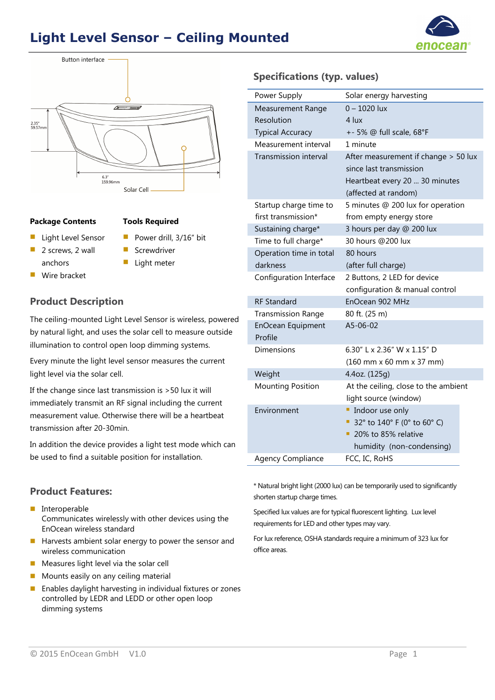## **Light Level Sensor – Ceiling Mounted**





#### **Package Contents Tools Required**

**Light Level Sensor** 2 screws, 2 wall

anchors Wire bracket

- Power drill, 3/16" bit
- Screwdriver
	- Light meter

#### **Product Description**

The ceiling-mounted Light Level Sensor is wireless, powered by natural light, and uses the solar cell to measure outside illumination to control open loop dimming systems.

Every minute the light level sensor measures the current light level via the solar cell.

If the change since last transmission is >50 lux it will immediately transmit an RF signal including the current measurement value. Otherwise there will be a heartbeat transmission after 20-30min.

In addition the device provides a light test mode which can be used to find a suitable position for installation.

#### Resolution Typical Accuracy 4 lux +- 5% @ full scale, 68°F

Measurement Range

**Specifications (typ. values)** 

Power Supply Solar energy harvesting

 $0 - 1020$  lux

| Measurement interval         | 1 minute                                                           |
|------------------------------|--------------------------------------------------------------------|
| <b>Transmission interval</b> | After measurement if change > 50 lux                               |
|                              | since last transmission                                            |
|                              | Heartbeat every 20  30 minutes                                     |
|                              | (affected at random)                                               |
| Startup charge time to       | 5 minutes @ 200 lux for operation                                  |
| first transmission*          | from empty energy store                                            |
| Sustaining charge*           | 3 hours per day @ 200 lux                                          |
| Time to full charge*         | 30 hours @200 lux                                                  |
| Operation time in total      | 80 hours                                                           |
| darkness                     | (after full charge)                                                |
| Configuration Interface      | 2 Buttons, 2 LED for device                                        |
|                              | configuration & manual control                                     |
| <b>RF Standard</b>           | EnOcean 902 MHz                                                    |
| <b>Transmission Range</b>    | 80 ft. (25 m)                                                      |
| <b>EnOcean Equipment</b>     | A5-06-02                                                           |
| Profile                      |                                                                    |
| Dimensions                   | 6.30" L x 2.36" W x 1.15" D                                        |
|                              | $(160 \, \text{mm} \times 60 \, \text{mm} \times 37 \, \text{mm})$ |
| Weight                       | 4.4oz. (125g)                                                      |
| <b>Mounting Position</b>     | At the ceiling, close to the ambient                               |
|                              | light source (window)                                              |
| Environment                  | Indoor use only<br>п                                               |
|                              | 32° to 140° F (0° to 60° C)                                        |
|                              | 20% to 85% relative                                                |
|                              | humidity (non-condensing)                                          |
| <b>Agency Compliance</b>     | FCC, IC, RoHS                                                      |

**Product Features:** 

- **Interoperable** Communicates wirelessly with other devices using the EnOcean wireless standard
- $\blacksquare$  Harvests ambient solar energy to power the sensor and wireless communication
- $\blacksquare$  Measures light level via the solar cell
- Mounts easily on any ceiling material
- **Enables daylight harvesting in individual fixtures or zones** controlled by LEDR and LEDD or other open loop dimming systems

\* Natural bright light (2000 lux) can be temporarily used to significantly shorten startup charge times.

Specified lux values are for typical fluorescent lighting. Lux level requirements for LED and other types may vary.

For lux reference, OSHA standards require a minimum of 323 lux for office areas.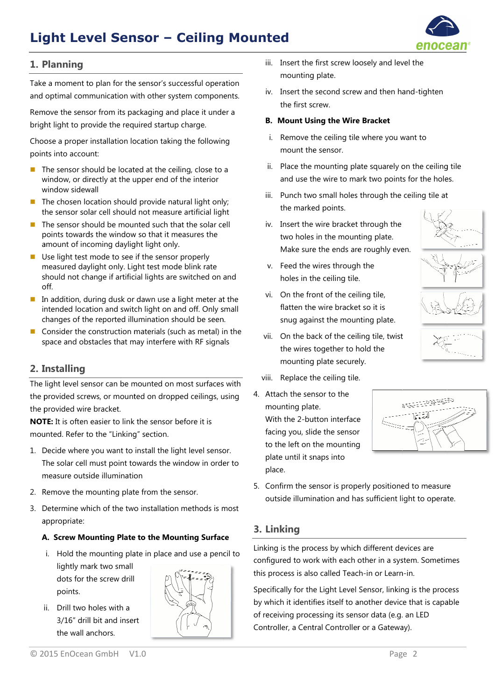# **Light Level Sensor – Ceiling Mounted Mounted**



## **1. Planning**

Take a moment to plan for the sensor's successful operation and optimal communication with other system components.

Remove the sensor from its packaging and place it under a bright light to provide the required startup charge.

Choose a proper installation location taking the following points into account:

- The sensor should be located at the ceiling, close to a window, or directly at the upper end of the interior window sidewall
- In The chosen location should provide natural light only; the sensor solar cell should not measure artificial light
- The sensor should be mounted such that the solar cell points towards the window so that it measures the amount of incoming daylight light only.
- Use light test mode to see if the sensor properly measured daylight daylight only. Light test mode blink rate should not change if artificial lights are switched on and off. measured daylight only. Light test mode blink rate<br>should not change if artificial lights are switched on and<br>off. In addition, during dusk or dawn use a light meter at the
- intended location and switch light on and off. Only small changes of the reported illumination should be seen.
- Consider the construction materials (such as metal) in the space and obstacles that may interfere with RF signals

### **2. Installing**

The light level sensor can be mounted on most surfaces surfaces with the provided screws, or mounted on dropped ceilings, using the provided wire bracket.

**NOTE:** It is often easier to link the se sensor before it is mounted mounted. Refer to the "Linking" section. **NOTE:** It is often easier to link the sensor before it is<br>mounted. Refer to the "Linking" section.<br>1. Decide where you want to install the light level sensor.

- The solar cell must point towards the window in order to measure outside illumination . Refer to the "Linking" section.<br>
e where you want to install the li<br>
blar cell must point towards the v<br>
ure outside illumination<br>
we the mounting plate from the<br>
mine which of the two installatio<br>
priate:<br> **rew Mountin**
- 2. Remove the mounting plate from the sensor.
- 3. Determine which of the two installation methods is most appropriate:

#### **A. Screw Mounting Plate to the Mounting Surface**

- i. Hold the mounting plate in place and use a pencil to lightly mark two small dots for the screw drill points.
- ii. Drill two holes with a 3/16" drill bit and insert the wall anchors.



© 2015 EnOcean GmbH V1.0

- iii. Insert the first screw loosely and level the iii. Insert the first screw loosely and level the<br>mounting plate.<br>iv. Insert the second screw and then hand-tighten mounting plate.
- the first screw.

#### **B. Mount Using the Wire Bracket Mount**

- i. Remove the ceiling tile where you want to mount the sensor.
- ii. Place the mounting plate squarely on the ceiling tile i. Remove the ceiling tile where you want to<br>
mount the sensor.<br>
ii. Place the mounting plate squarely on the ceiling<br>
and use the wire to mark two points for the hole<br>
iii. Punch two small holes through the ceiling tile a and use the wire to mark two points for the holes.
- the marked points.
- iv. Insert the wire bracket through the two holes in the mounting plate. Make sure the ends are roughly even.
- v. Feed the wires through the the holes in the ceiling tile.
- vi. On the front of the ceiling tile, flatten the wire bracket so it is snug against the mounting plate.
- 



- vii. On the back of the ceiling tile, twist the wires together to hold the mounting plate securely. On the back of the ceiling<br>the wires together to hold<br>mounting plate securely.<br>Replace the ceiling tile.<br>ch the sensor to the<br>inting plate.<br>i the 2-button interface
- viii. Replace the ceiling tile.
- 4. Attach the sensor to the mounting plate. mounting plate. With the 2 2-button inter facing you, slide the sensor to the left on the mounting plate until it snaps into place. nug against the mount<br>Dn the back of the ceilir<br>he wires together to ho<br>nounting plate securely<br>keplace the ceiling tile.<br>h the sensor to the<br>nting plate.<br>the 2-button interface



5. Confirm the sensor is properly positioned to measure outside illumination and has sufficient light to operate.

#### **3. Linking**

Linking is the process by which different devices are configured to work with each other in a system. Sometimes this process is also called Teach Teach-in or Learn the left on the mounting<br>te until it snaps into<br>cce.<br>nfirm the sensor is proper<br>tside illumination and has<br>**nking**<br>g is the process by which<br>ured to work with each of<br>ocess is also called Teach

Specifically for the Light Level Sensor, linking is the process by which it identifies itself to another device that is capable by which it identifies itself to another device that is<br>of receiving processing its sensor data (e.g. an LED Controller, a Central Controller or a Gateway).